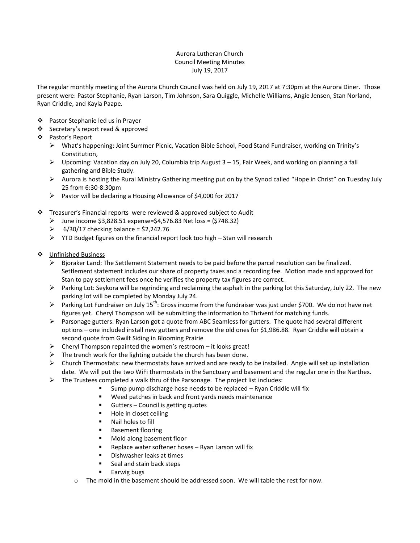## Aurora Lutheran Church Council Meeting Minutes July 19, 2017

The regular monthly meeting of the Aurora Church Council was held on July 19, 2017 at 7:30pm at the Aurora Diner. Those present were: Pastor Stephanie, Ryan Larson, Tim Johnson, Sara Quiggle, Michelle Williams, Angie Jensen, Stan Norland, Ryan Criddle, and Kayla Paape.

- ❖ Pastor Stephanie led us in Prayer
- ❖ Secretary's report read & approved
- Pastor's Report
	- What's happening: Joint Summer Picnic, Vacation Bible School, Food Stand Fundraiser, working on Trinity's Constitution,
	- $\triangleright$  Upcoming: Vacation day on July 20, Columbia trip August 3 15, Fair Week, and working on planning a fall gathering and Bible Study.
	- $\triangleright$  Aurora is hosting the Rural Ministry Gathering meeting put on by the Synod called "Hope in Christ" on Tuesday July 25 from 6:30-8:30pm
	- Pastor will be declaring a Housing Allowance of \$4,000 for 2017
- Treasurer's Financial reports were reviewed & approved subject to Audit
	- $\geq$  June income \$3,828.51 expense=\$4,576.83 Net loss = (\$748.32)
	- $\geq 6/30/17$  checking balance = \$2,242.76
	- $\triangleright$  YTD Budget figures on the financial report look too high Stan will research
- Unfinished Business
	- $\triangleright$  Bjoraker Land: The Settlement Statement needs to be paid before the parcel resolution can be finalized. Settlement statement includes our share of property taxes and a recording fee. Motion made and approved for Stan to pay settlement fees once he verifies the property tax figures are correct.
	- $\triangleright$  Parking Lot: Seykora will be regrinding and reclaiming the asphalt in the parking lot this Saturday, July 22. The new parking lot will be completed by Monday July 24.
	- Parking Lot Fundraiser on July 15<sup>th</sup>: Gross income from the fundraiser was just under \$700. We do not have net figures yet. Cheryl Thompson will be submitting the information to Thrivent for matching funds.
	- $\triangleright$  Parsonage gutters: Ryan Larson got a quote from ABC Seamless for gutters. The quote had several different options – one included install new gutters and remove the old ones for \$1,986.88. Ryan Criddle will obtain a second quote from Gwilt Siding in Blooming Prairie
	- $\triangleright$  Cheryl Thompson repainted the women's restroom it looks great!
	- $\triangleright$  The trench work for the lighting outside the church has been done.
	- $\triangleright$  Church Thermostats: new thermostats have arrived and are ready to be installed. Angie will set up installation date. We will put the two WiFi thermostats in the Sanctuary and basement and the regular one in the Narthex.
	- $\triangleright$  The Trustees completed a walk thru of the Parsonage. The project list includes:
		- **EXTERGH** Sump pump discharge hose needs to be replaced Ryan Criddle will fix
		- Weed patches in back and front yards needs maintenance
		- Gutters Council is getting quotes
		- **Hole in closet ceiling**
		- **Nail holes to fill**
		- **Basement flooring**
		- Mold along basement floor
		- **Replace water softener hoses Ryan Larson will fix**
		- **Dishwasher leaks at times**
		- Seal and stain back steps
		- **Earwig bugs**
		- o The mold in the basement should be addressed soon. We will table the rest for now.